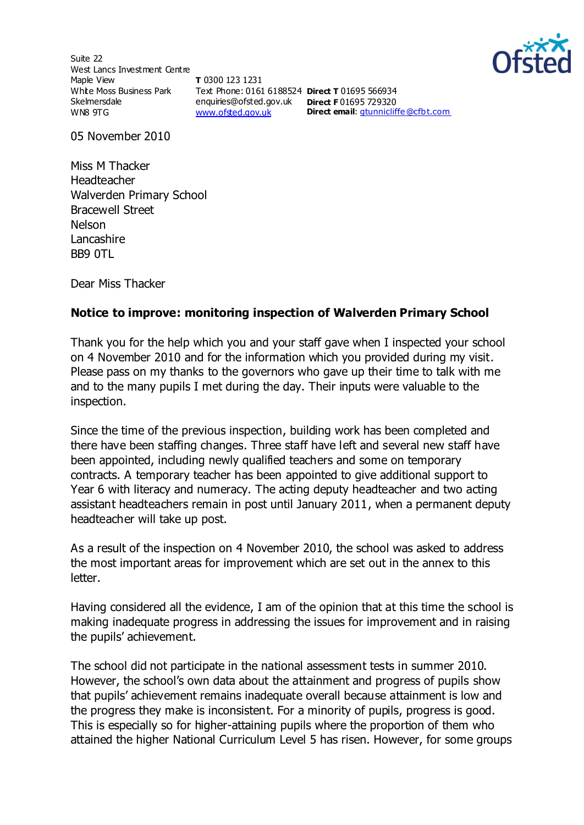Suite 22 West Lancs Investment Centre Maple View White Moss Business Park Skelmersdale WN8 9TG

**T** 0300 123 1231 Text Phone: 0161 6188524 **Direct T** 01695 566934 enquiries@ofsted.gov.uk **Direct F** 01695 729320 [www.ofsted.gov.uk](http://www.ofsted.gov.uk/)



**Direct email**: [gtunnicliffe@cfb t.com](mailto:gtunnicliffe@cfbt.com)

05 November 2010

Miss M Thacker Headteacher Walverden Primary School Bracewell Street Nelson Lancashire BB9 0TL

Dear Miss Thacker

## **Notice to improve: monitoring inspection of Walverden Primary School**

Thank you for the help which you and your staff gave when I inspected your school on 4 November 2010 and for the information which you provided during my visit. Please pass on my thanks to the governors who gave up their time to talk with me and to the many pupils I met during the day. Their inputs were valuable to the inspection.

Since the time of the previous inspection, building work has been completed and there have been staffing changes. Three staff have left and several new staff have been appointed, including newly qualified teachers and some on temporary contracts. A temporary teacher has been appointed to give additional support to Year 6 with literacy and numeracy. The acting deputy headteacher and two acting assistant headteachers remain in post until January 2011, when a permanent deputy headteacher will take up post.

As a result of the inspection on 4 November 2010, the school was asked to address the most important areas for improvement which are set out in the annex to this letter.

Having considered all the evidence, I am of the opinion that at this time the school is making inadequate progress in addressing the issues for improvement and in raising the pupils' achievement.

The school did not participate in the national assessment tests in summer 2010. However, the school's own data about the attainment and progress of pupils show that pupils' achievement remains inadequate overall because attainment is low and the progress they make is inconsistent. For a minority of pupils, progress is good. This is especially so for higher-attaining pupils where the proportion of them who attained the higher National Curriculum Level 5 has risen. However, for some groups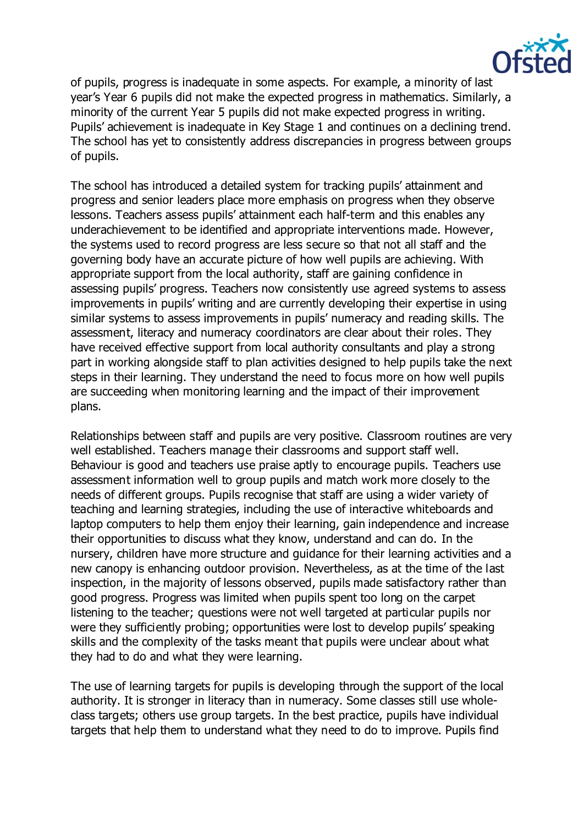

of pupils, progress is inadequate in some aspects. For example, a minority of last year's Year 6 pupils did not make the expected progress in mathematics. Similarly, a minority of the current Year 5 pupils did not make expected progress in writing. Pupils' achievement is inadequate in Key Stage 1 and continues on a declining trend. The school has yet to consistently address discrepancies in progress between groups of pupils.

The school has introduced a detailed system for tracking pupils' attainment and progress and senior leaders place more emphasis on progress when they observe lessons. Teachers assess pupils' attainment each half-term and this enables any underachievement to be identified and appropriate interventions made. However, the systems used to record progress are less secure so that not all staff and the governing body have an accurate picture of how well pupils are achieving. With appropriate support from the local authority, staff are gaining confidence in assessing pupils' progress. Teachers now consistently use agreed systems to assess improvements in pupils' writing and are currently developing their expertise in using similar systems to assess improvements in pupils' numeracy and reading skills. The assessment, literacy and numeracy coordinators are clear about their roles. They have received effective support from local authority consultants and play a strong part in working alongside staff to plan activities designed to help pupils take the next steps in their learning. They understand the need to focus more on how well pupils are succeeding when monitoring learning and the impact of their improvement plans.

Relationships between staff and pupils are very positive. Classroom routines are very well established. Teachers manage their classrooms and support staff well. Behaviour is good and teachers use praise aptly to encourage pupils. Teachers use assessment information well to group pupils and match work more closely to the needs of different groups. Pupils recognise that staff are using a wider variety of teaching and learning strategies, including the use of interactive whiteboards and laptop computers to help them enjoy their learning, gain independence and increase their opportunities to discuss what they know, understand and can do. In the nursery, children have more structure and guidance for their learning activities and a new canopy is enhancing outdoor provision. Nevertheless, as at the time of the last inspection, in the majority of lessons observed, pupils made satisfactory rather than good progress. Progress was limited when pupils spent too long on the carpet listening to the teacher; questions were not well targeted at particular pupils nor were they sufficiently probing; opportunities were lost to develop pupils' speaking skills and the complexity of the tasks meant that pupils were unclear about what they had to do and what they were learning.

The use of learning targets for pupils is developing through the support of the local authority. It is stronger in literacy than in numeracy. Some classes still use wholeclass targets; others use group targets. In the best practice, pupils have individual targets that help them to understand what they need to do to improve. Pupils find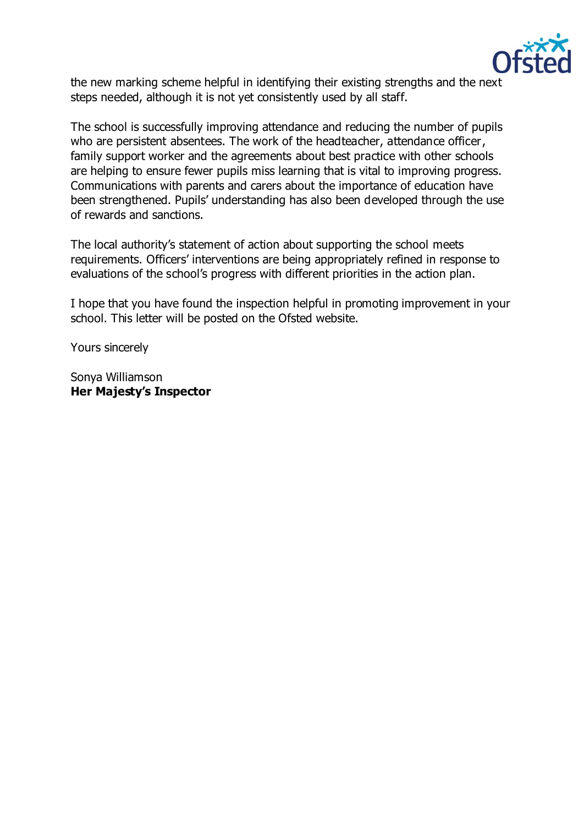

the new marking scheme helpful in identifying their existing strengths and the next steps needed, although it is not yet consistently used by all staff.

The school is successfully improving attendance and reducing the number of pupils who are persistent absentees. The work of the headteacher, attendance officer, family support worker and the agreements about best practice with other schools are helping to ensure fewer pupils miss learning that is vital to improving progress. Communications with parents and carers about the importance of education have been strengthened. Pupils' understanding has also been developed through the use of rewards and sanctions.

The local authority's statement of action about supporting the school meets requirements. Officers' interventions are being appropriately refined in response to evaluations of the school's progress with different priorities in the action plan.

I hope that you have found the inspection helpful in promoting improvement in your school. This letter will be posted on the Ofsted website.

Yours sincerely

Sonya Williamson **Her Majesty's Inspector**